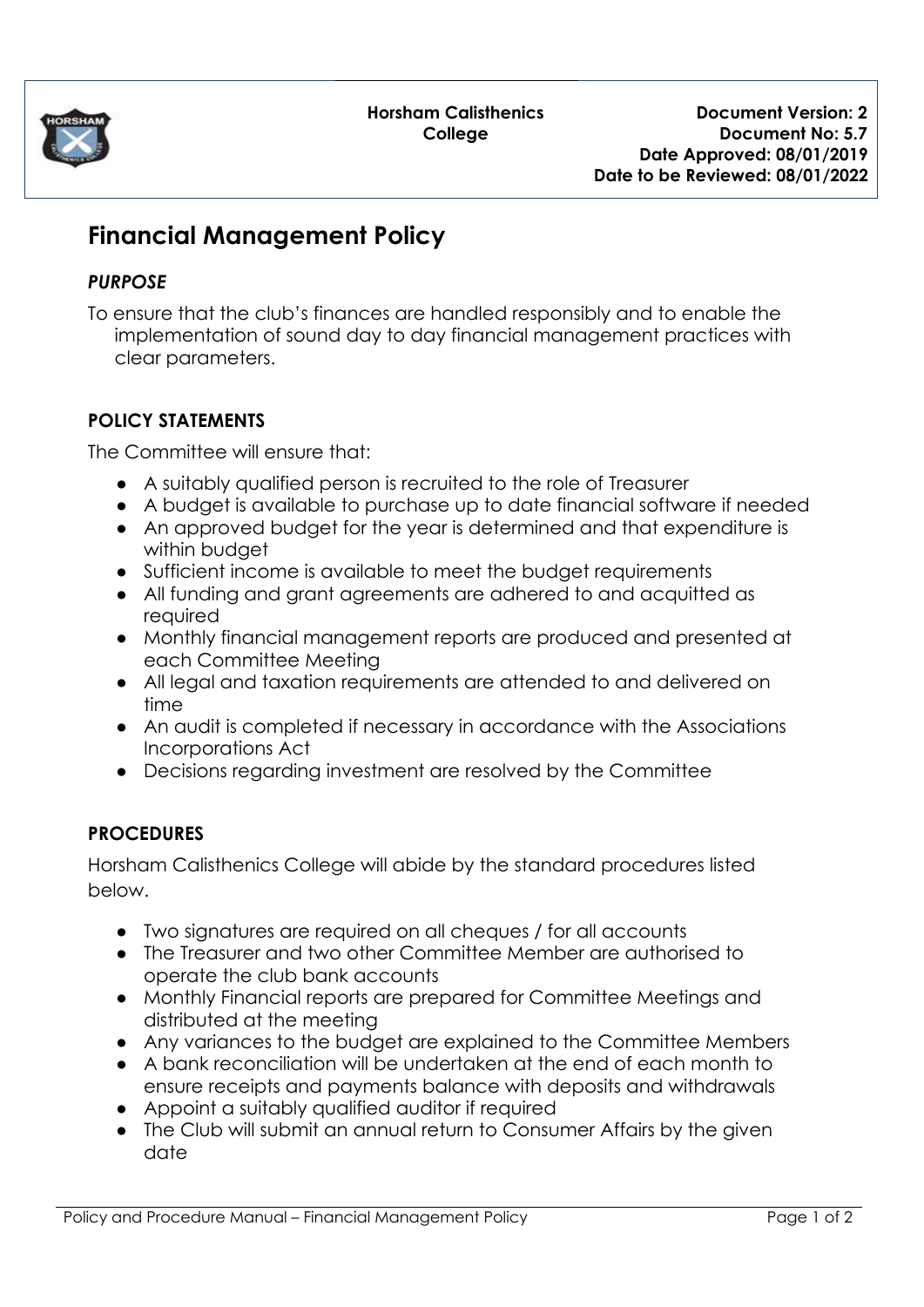

**Horsham Calisthenics College**

# **Financial Management Policy**

#### *PURPOSE*

To ensure that the club's finances are handled responsibly and to enable the implementation of sound day to day financial management practices with clear parameters.

## **POLICY STATEMENTS**

The Committee will ensure that:

- A suitably qualified person is recruited to the role of Treasurer
- A budget is available to purchase up to date financial software if needed
- An approved budget for the year is determined and that expenditure is within budget
- Sufficient income is available to meet the budget requirements
- All funding and grant agreements are adhered to and acquitted as required
- Monthly financial management reports are produced and presented at each Committee Meeting
- All legal and taxation requirements are attended to and delivered on time
- An audit is completed if necessary in accordance with the Associations Incorporations Act
- Decisions regarding investment are resolved by the Committee

## **PROCEDURES**

Horsham Calisthenics College will abide by the standard procedures listed below.

- Two signatures are required on all cheques / for all accounts
- The Treasurer and two other Committee Member are authorised to operate the club bank accounts
- Monthly Financial reports are prepared for Committee Meetings and distributed at the meeting
- Any variances to the budget are explained to the Committee Members
- A bank reconciliation will be undertaken at the end of each month to ensure receipts and payments balance with deposits and withdrawals
- Appoint a suitably qualified auditor if required
- The Club will submit an annual return to Consumer Affairs by the given date